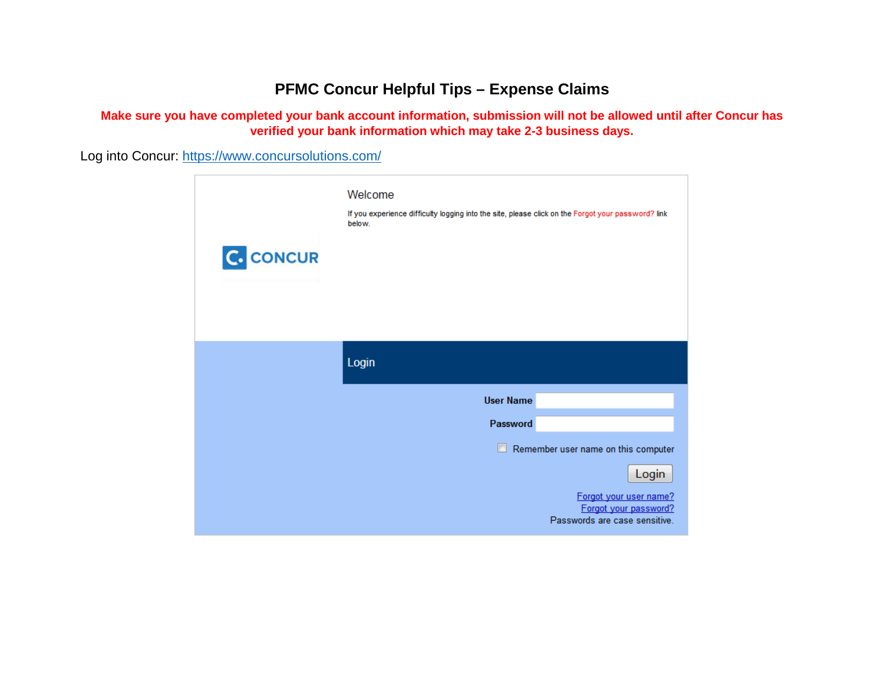## **PFMC Concur Helpful Tips – Expense Claims**

**Make sure you have completed your bank account information, submission will not be allowed until after Concur has verified your bank information which may take 2-3 business days.**

Log into Concur:<https://www.concursolutions.com/>

| <b>C.</b> CONCUR | Welcome<br>If you experience difficulty logging into the site, please click on the Forgot your password? link<br>below. |
|------------------|-------------------------------------------------------------------------------------------------------------------------|
|                  | Login                                                                                                                   |
|                  | <b>User Name</b>                                                                                                        |
|                  | Password                                                                                                                |
|                  | $\Box$<br>Remember user name on this computer                                                                           |
|                  | Login                                                                                                                   |
|                  | Forgot your user name?<br>Forgot your password?<br>Passwords are case sensitive.                                        |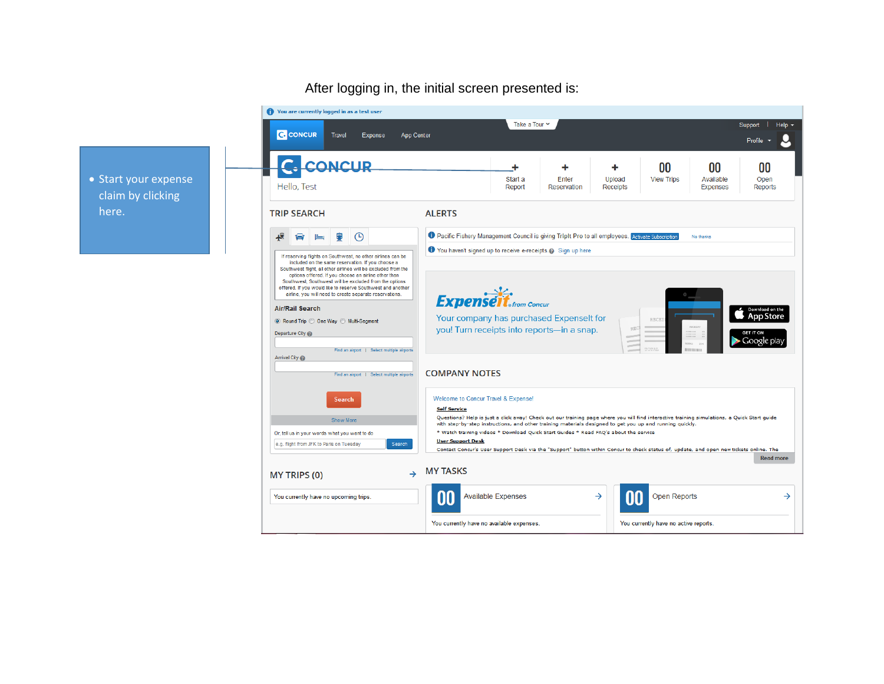## After logging in, the initial screen presented is:

• Start your expense claim by clicking here.

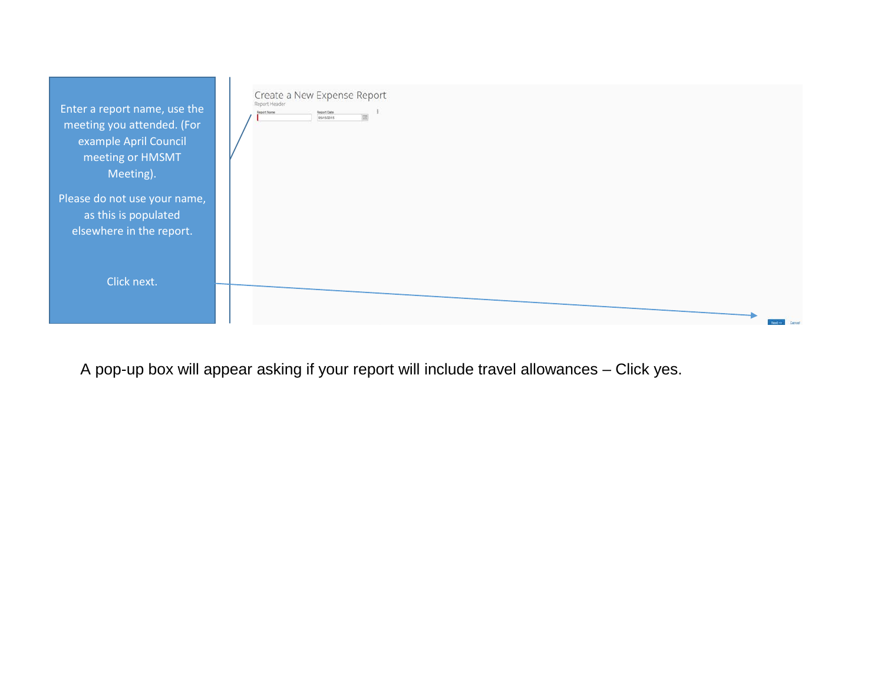| Enter a report name, use the<br>meeting you attended. (For<br>example April Council<br>meeting or HMSMT<br>Meeting). | Create a New Expense Report<br>Report Header<br>Report Date<br>Report Name<br>05/15/2015<br><b>ISR</b> |
|----------------------------------------------------------------------------------------------------------------------|--------------------------------------------------------------------------------------------------------|
| Please do not use your name,<br>as this is populated<br>elsewhere in the report.                                     |                                                                                                        |
| Click next.                                                                                                          |                                                                                                        |

A pop-up box will appear asking if your report will include travel allowances – Click yes.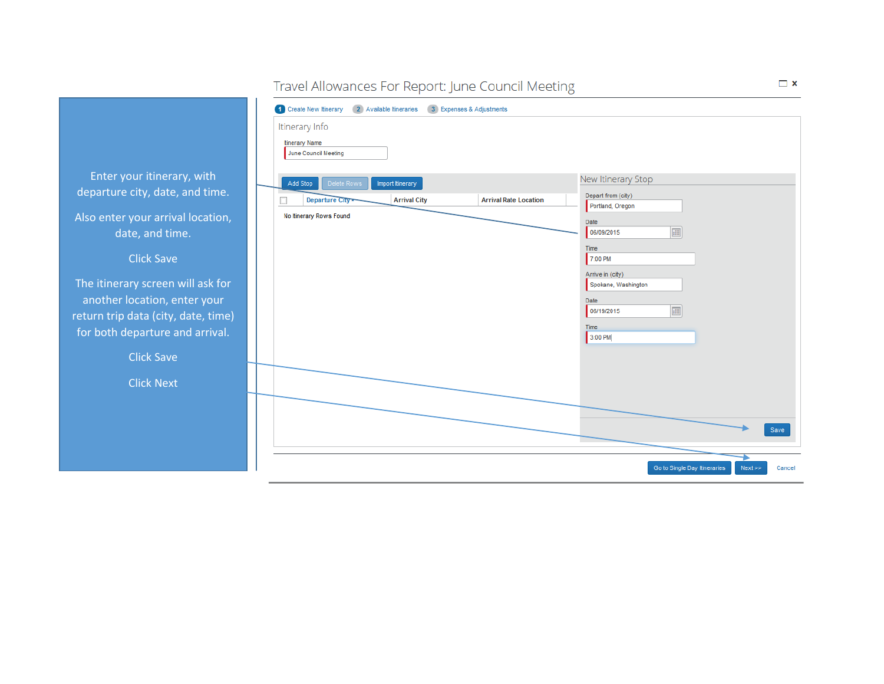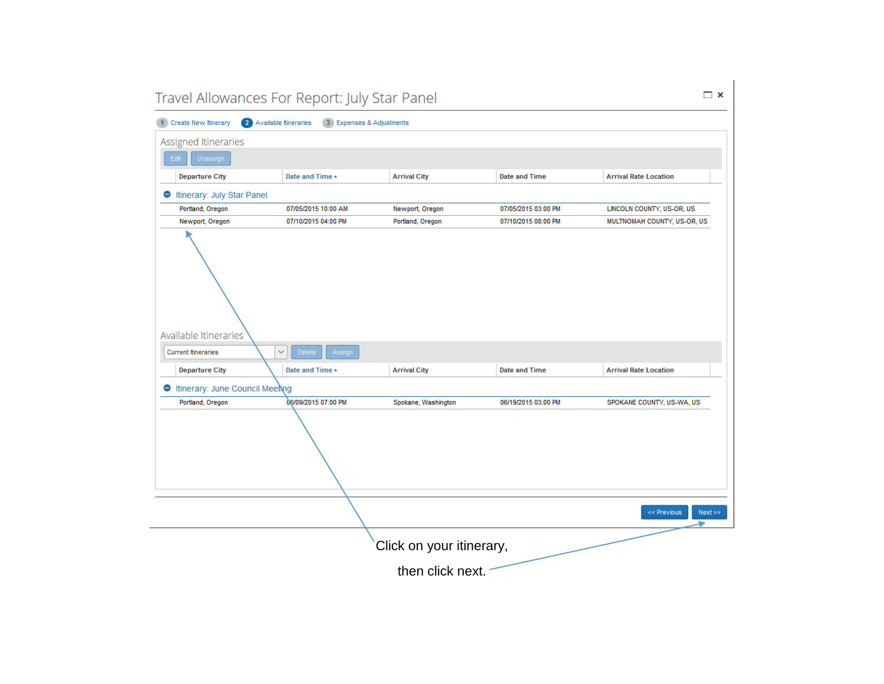| $\Box$ $\times$<br>Travel Allowances For Report: July Star Panel                                                   |                                                                                                          |                          |                      |                              |  |  |  |  |  |  |
|--------------------------------------------------------------------------------------------------------------------|----------------------------------------------------------------------------------------------------------|--------------------------|----------------------|------------------------------|--|--|--|--|--|--|
| 2 Available Itineraries<br>3 Expenses & Adjustments<br>1 Create New Itinerary                                      |                                                                                                          |                          |                      |                              |  |  |  |  |  |  |
| Assigned Itineraries                                                                                               |                                                                                                          |                          |                      |                              |  |  |  |  |  |  |
| Unassign<br>Edit                                                                                                   |                                                                                                          |                          |                      |                              |  |  |  |  |  |  |
| <b>Departure City</b>                                                                                              | Date and Time $\triangle$<br><b>Arrival City</b><br><b>Date and Time</b><br><b>Arrival Rate Location</b> |                          |                      |                              |  |  |  |  |  |  |
| linerary: July Star Panel                                                                                          |                                                                                                          |                          |                      |                              |  |  |  |  |  |  |
| Portland, Oregon                                                                                                   | 07/05/2015 10:00 AM<br>07/05/2015 03:00 PM<br>LINCOLN COUNTY, US-OR, US<br>Newport, Oregon               |                          |                      |                              |  |  |  |  |  |  |
| Newport, Oregon                                                                                                    | 07/10/2015 04:00 PM                                                                                      | Portland, Oregon         | 07/10/2015 08:00 PM  | MULTNOMAH COUNTY, US-OR, US  |  |  |  |  |  |  |
| Available Itineraries<br><b>Current Itineraries</b>                                                                | ×<br>Assign<br><b>Delete</b>                                                                             |                          |                      |                              |  |  |  |  |  |  |
|                                                                                                                    |                                                                                                          |                          |                      |                              |  |  |  |  |  |  |
| <b>Departure City</b>                                                                                              | Date and Time $\triangle$                                                                                | <b>Arrival City</b>      | <b>Date and Time</b> | <b>Arrival Rate Location</b> |  |  |  |  |  |  |
| <b>Itinerary: June Council Meeting</b>                                                                             |                                                                                                          |                          |                      |                              |  |  |  |  |  |  |
| 06/09/2015 07:00 PM<br>Portland, Oregon<br>SPOKANE COUNTY, US-WA, US<br>Spokane, Washington<br>06/19/2015 03:00 PM |                                                                                                          |                          |                      |                              |  |  |  |  |  |  |
| << Previous<br>Next                                                                                                |                                                                                                          |                          |                      |                              |  |  |  |  |  |  |
|                                                                                                                    |                                                                                                          | Click on your itinerary, |                      |                              |  |  |  |  |  |  |
|                                                                                                                    | then click next.                                                                                         |                          |                      |                              |  |  |  |  |  |  |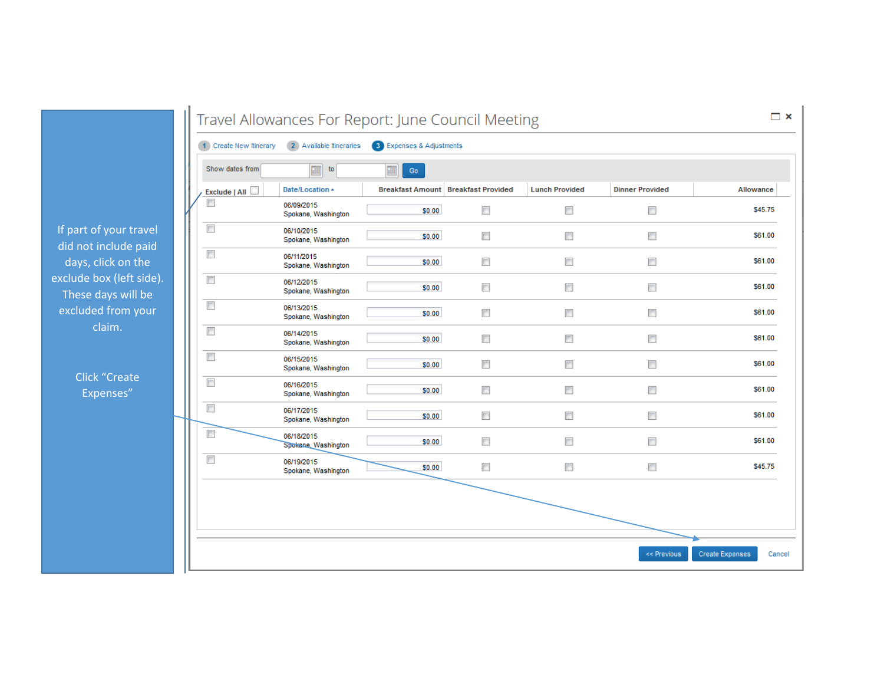If part of your travel did not include paid days, click on the exclude box (left side). These days will be excluded from your claim.

> Click "Create Expenses"

| 1 Create New Itinerary | 2 Available Itineraries           | 3 Expenses & Adjustments                   |                          |                          |                          |           |
|------------------------|-----------------------------------|--------------------------------------------|--------------------------|--------------------------|--------------------------|-----------|
| Show dates from        | 珊<br>to                           | 疆<br>$\mathop{\rm Go}\nolimits$            |                          |                          |                          |           |
| Exclude   All          | Date/Location 4                   | <b>Breakfast Amount Breakfast Provided</b> |                          | <b>Lunch Provided</b>    | <b>Dinner Provided</b>   | Allowance |
| $\Box$                 | 06/09/2015<br>Spokane, Washington | \$0.00                                     | $\blacksquare$           | $\Box$                   | $\overline{\phantom{a}}$ | \$45.75   |
| $\Box$                 | 06/10/2015<br>Spokane, Washington | \$0.00                                     | $\overline{\phantom{a}}$ | $\overline{\phantom{a}}$ | $\Box$                   | \$61.00   |
| $\Box$                 | 06/11/2015<br>Spokane, Washington | \$0.00                                     | $\Box$                   | $\Box$                   | $\Box$                   | \$61.00   |
| $\Box$                 | 06/12/2015<br>Spokane, Washington | \$0.00                                     | $\overline{\phantom{a}}$ | $\Box$                   | $\Box$                   | \$61.00   |
| $\Box$                 | 06/13/2015<br>Spokane, Washington | \$0.00                                     | $\Box$                   | $\overline{\phantom{a}}$ | $\Box$                   | \$61.00   |
| $\Box$                 | 06/14/2015<br>Spokane, Washington | \$0.00                                     | □                        | $\Box$                   | $\Box$                   | \$61.00   |
| $\Box$                 | 06/15/2015<br>Spokane, Washington | \$0.00                                     | $\Box$                   | $\Box$                   | $\Box$                   | \$61.00   |
| $\Box$                 | 06/16/2015<br>Spokane, Washington | \$0.00                                     | П                        | $\Box$                   | $\Box$                   | \$61.00   |
| $\Box$                 | 06/17/2015<br>Spokane, Washington | \$0.00                                     | $\Box$                   | $\overline{\phantom{a}}$ | $\Box$                   | \$61.00   |
| $\Box$                 | 06/18/2015<br>Spokane, Washington | \$0.00                                     | $\overline{\phantom{a}}$ | $\Box$                   | $\Box$                   | \$61.00   |
| $\Box$                 | 06/19/2015<br>Spokane, Washington | \$0.00                                     | $\Box$                   | $\Box$                   | $\overline{\phantom{a}}$ | \$45.75   |
|                        |                                   |                                            |                          |                          |                          |           |
|                        |                                   |                                            |                          |                          |                          |           |
|                        |                                   |                                            |                          |                          |                          |           |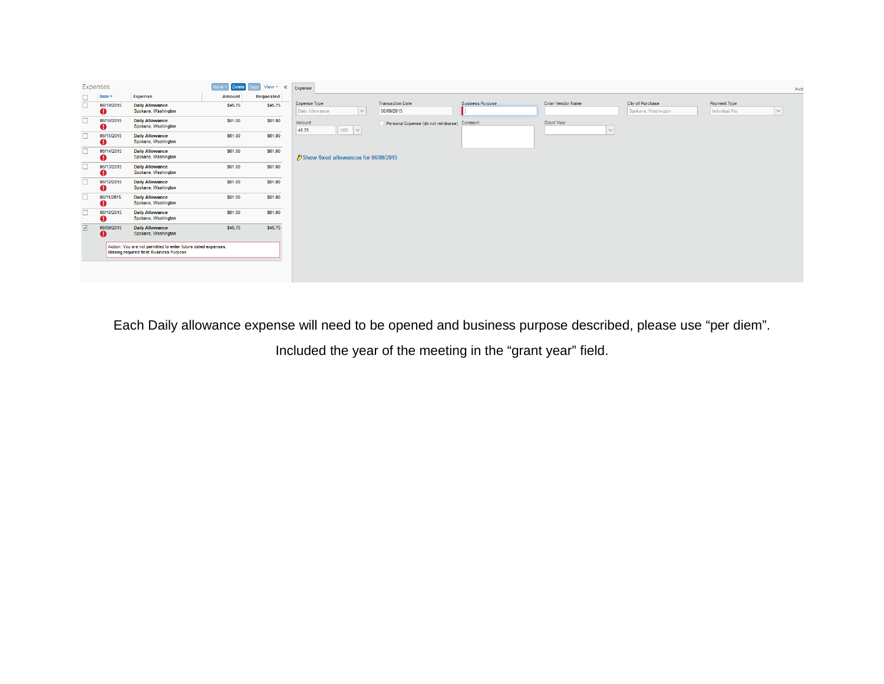|                         | Expenses        |                                                                                                            | Move <sup>*</sup><br><b>Delete</b> | View * << Expense |                                                  |                                             |                         |                                   |                                         |                                | Avai   |
|-------------------------|-----------------|------------------------------------------------------------------------------------------------------------|------------------------------------|-------------------|--------------------------------------------------|---------------------------------------------|-------------------------|-----------------------------------|-----------------------------------------|--------------------------------|--------|
| $\Box$                  | Date *          | Expense                                                                                                    | Amount                             | Requested         |                                                  |                                             |                         |                                   |                                         |                                |        |
| $\Box$                  | 06/19/2015<br>Ø | <b>Daily Allowance</b><br>Spokane, Washington                                                              | \$45.75                            | \$45.75           | <b>Expense Type</b><br>Daily Allowance<br>$\vee$ | <b>Transaction Date</b><br>06/09/2015       | <b>Business Purpose</b> | <b>Enter Vendor Name</b>          | City of Purchase<br>Spokane, Washington | Payment Type<br>Individual Pay | $\vee$ |
| $\Box$                  | 06/16/2015<br>o | <b>Daily Allowance</b><br>Spokane, Washington                                                              | \$61.00                            | \$61.00           | Amount<br>$ USD  \times  $<br>45.75              | Personal Expense (do not reimburse) Comment |                         | <b>Grant Year</b><br>$\checkmark$ |                                         |                                |        |
| $\Box$                  | 06/15/2015<br>Ø | <b>Daily Allowance</b><br>Spokane, Washington                                                              | \$61.00                            | \$61.00           |                                                  |                                             |                         |                                   |                                         |                                |        |
| $\Box$                  | 06/14/2015<br>o | <b>Daily Allowance</b><br>Spokane, Washington                                                              | \$61.00                            | \$61.00           | Show fixed allowances for 06/09/2015             |                                             |                         |                                   |                                         |                                |        |
| $\Box$                  | 06/13/2015<br>ø | <b>Daily Allowance</b><br>Spokane, Washington                                                              | \$61.00                            | \$61.00           |                                                  |                                             |                         |                                   |                                         |                                |        |
| $\Box$                  | 06/12/2015<br>o | <b>Daily Allowance</b><br>Spokane, Washington                                                              | \$61.00                            | \$61.00           |                                                  |                                             |                         |                                   |                                         |                                |        |
| $\Box$                  | 06/11/2015<br>o | <b>Daily Allowance</b><br>Spokane, Washington                                                              | \$61.00                            | \$61.00           |                                                  |                                             |                         |                                   |                                         |                                |        |
| $\Box$                  | 06/10/2015<br>o | <b>Daily Allowance</b><br>Spokane, Washington                                                              | \$61.00                            | \$61.00           |                                                  |                                             |                         |                                   |                                         |                                |        |
| $\overline{\mathbf{v}}$ | 06/09/2015<br>o | <b>Daily Allowance</b><br>Spokane, Washington                                                              | \$45.75                            | \$45.75           |                                                  |                                             |                         |                                   |                                         |                                |        |
|                         |                 | Action: You are not permitted to enter future dated expenses.<br>Missing required field: Business Purpose. |                                    |                   |                                                  |                                             |                         |                                   |                                         |                                |        |
|                         |                 |                                                                                                            |                                    |                   |                                                  |                                             |                         |                                   |                                         |                                |        |

Each Daily allowance expense will need to be opened and business purpose described, please use "per diem".

Included the year of the meeting in the "grant year" field.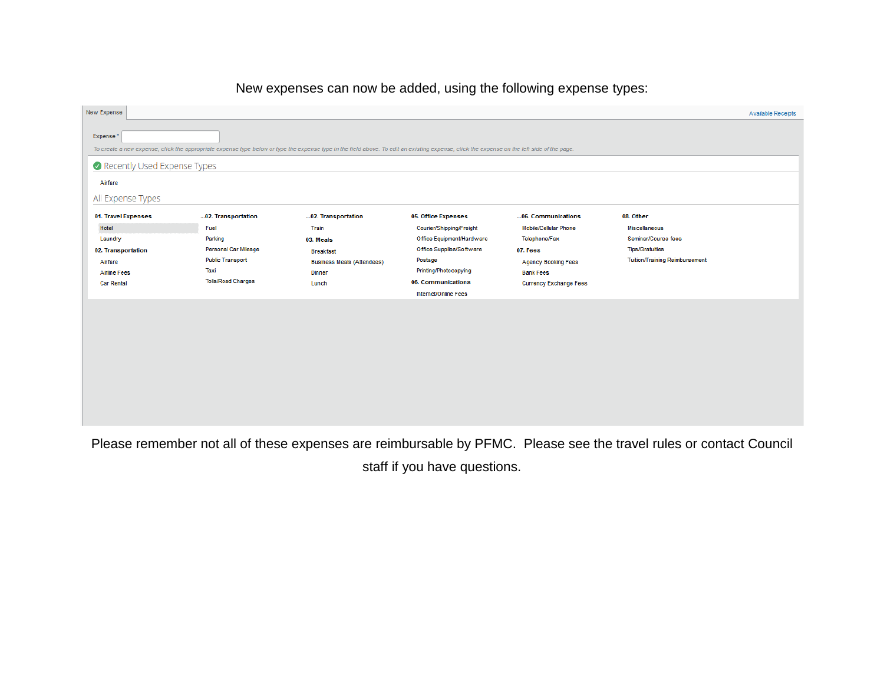## New Expense Available Receipts Expense<sup>\*</sup> To create a new expense, click the appropriate expense type below or type the expense type in the field above. To edit an existing expense, click the expense on the left side of the page. Recently Used Expense Types Airfare All Expense Types 01. Travel Expenses ...02. Transportation ...02. Transportation 05. Office Expenses ... 06. Communications 08. Other Hotel Fuel Train Courier/Shipping/Freight Mobile/Cellular Phone Miscellaneous Office Equipment/Hardware Telephone/Fax Seminar/Course fees Laundry Parking 03. Meals Personal Car Mileage Office Supplies/Software **Tips/Gratuities** 02. Transportation **Breakfast** 07. Fees **Public Transport** Postage Tuition/Training Reimbursement Airfare **Business Meals (Attendees) Agency Booking Fees** Taxi Printing/Photocopying **Bank Fees Airline Fees** Dinner **Tolls/Road Charges Car Rental** Lunch 06. Communications Currency Exchange Fees Internet/Online Fees

## New expenses can now be added, using the following expense types:

Please remember not all of these expenses are reimbursable by PFMC. Please see the travel rules or contact Council staff if you have questions.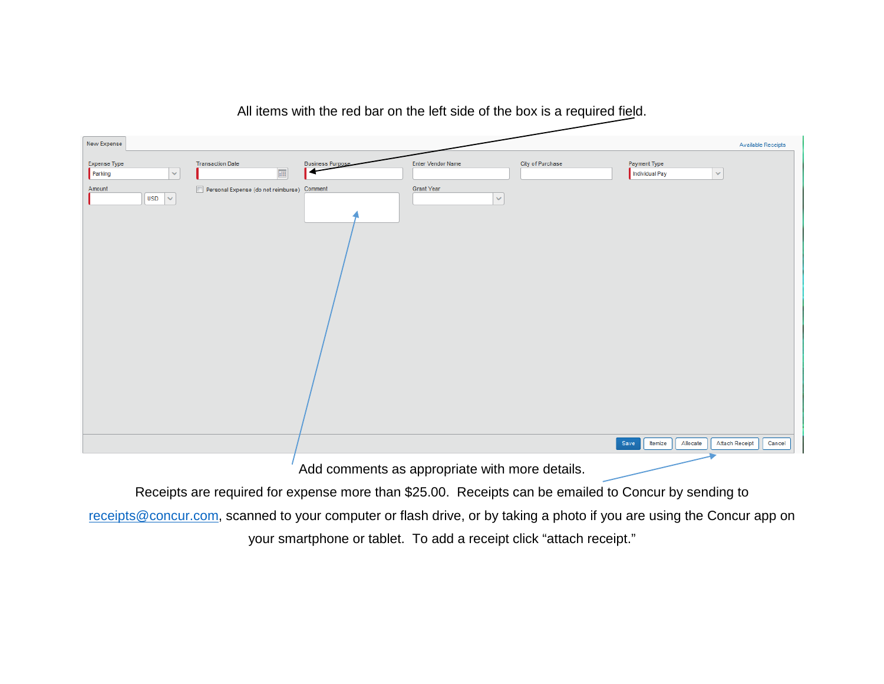

All items with the red bar on the left side of the box is a required field.

Receipts are required for expense more than \$25.00. Receipts can be emailed to Concur by sending to

[receipts@concur.com,](mailto:receipts@concur.com) scanned to your computer or flash drive, or by taking a photo if you are using the Concur app on your smartphone or tablet. To add a receipt click "attach receipt."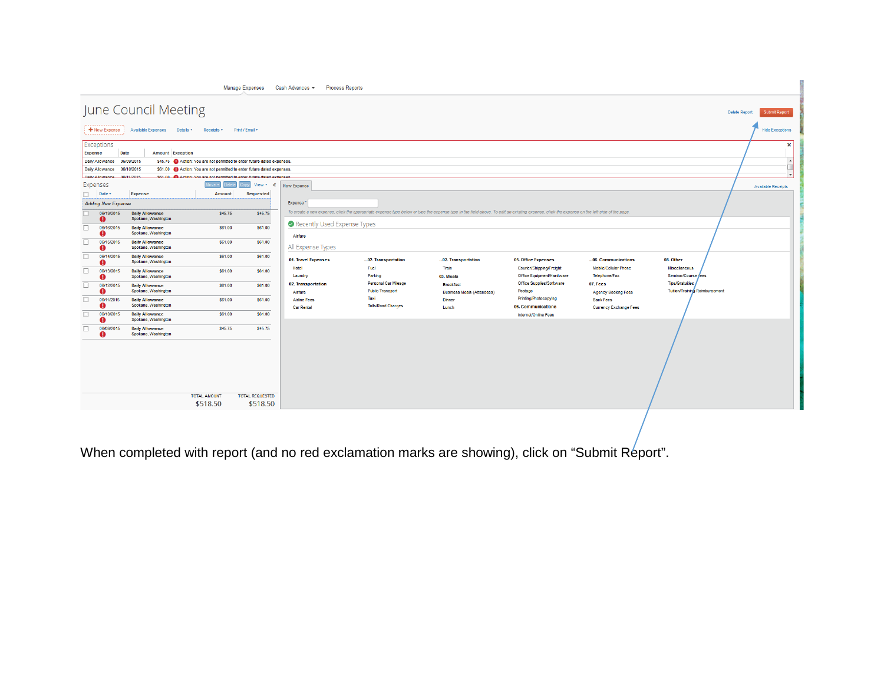|                                               |                                                                                                                                                                             |                                               |                                                                         | <b>Manage Expenses</b> | Cash Advances $\sim$<br><b>Process Reports</b> |                                                 |                                                                                                                                                                                             |                                                       |                                                |                                                                 |  |
|-----------------------------------------------|-----------------------------------------------------------------------------------------------------------------------------------------------------------------------------|-----------------------------------------------|-------------------------------------------------------------------------|------------------------|------------------------------------------------|-------------------------------------------------|---------------------------------------------------------------------------------------------------------------------------------------------------------------------------------------------|-------------------------------------------------------|------------------------------------------------|-----------------------------------------------------------------|--|
|                                               | June Council Meeting<br>Submit Report<br><b>Delete Report</b>                                                                                                               |                                               |                                                                         |                        |                                                |                                                 |                                                                                                                                                                                             |                                                       |                                                |                                                                 |  |
|                                               | + New Expense   Available Expenses Details<br>Print / Email *<br>Receipts *<br><b>Hide Exceptions</b>                                                                       |                                               |                                                                         |                        |                                                |                                                 |                                                                                                                                                                                             |                                                       |                                                |                                                                 |  |
|                                               | Exceptions<br>×<br>Date<br><b>Amount</b> Exception<br><b>Expense</b><br>Daily Allowance 06/09/2015<br>\$45.75 Action: You are not permitted to enter future dated expenses. |                                               |                                                                         |                        |                                                |                                                 |                                                                                                                                                                                             |                                                       |                                                |                                                                 |  |
|                                               | Daily Allowance 06/10/2015                                                                                                                                                  |                                               | \$61.00 C Action: You are not permitted to enter future dated expenses. |                        |                                                |                                                 |                                                                                                                                                                                             |                                                       |                                                |                                                                 |  |
|                                               | Daily Allowance 06/11/2015<br><b>Expenses</b>                                                                                                                               |                                               | \$61.00 Charling: You are not nermitted to enter future dated expenses  | View * «               | New Expense                                    |                                                 |                                                                                                                                                                                             |                                                       |                                                | <b>Available Receipts</b>                                       |  |
| $\Box$                                        | Date v                                                                                                                                                                      | <b>Expense</b>                                | <b>Amount</b>                                                           | <b>Requested</b>       |                                                |                                                 |                                                                                                                                                                                             |                                                       |                                                |                                                                 |  |
|                                               | <b>Adding New Expense</b>                                                                                                                                                   |                                               |                                                                         |                        | Expense <sup>"</sup>                           |                                                 |                                                                                                                                                                                             |                                                       |                                                |                                                                 |  |
| n.                                            | 06/19/2015<br>o                                                                                                                                                             | <b>Daily Allowance</b><br>Spokane, Washington | \$45.75                                                                 | \$45.75                |                                                |                                                 | To create a new expense, click the appropriate expense type below or type the expense type in the field above. To edit an existing expense, click the expense on the left side of the page. |                                                       |                                                |                                                                 |  |
| П.                                            | 06/16/2015<br>o                                                                                                                                                             | <b>Daily Allowance</b><br>Spokane, Washington | \$61.00                                                                 | \$61.00                | Recently Used Expense Types<br>Airfare         |                                                 |                                                                                                                                                                                             |                                                       |                                                |                                                                 |  |
| n.                                            | 06/15/2015<br>o                                                                                                                                                             | <b>Daily Allowance</b><br>Spokane, Washington | \$61.00                                                                 | \$61.00                | All Expense Types                              |                                                 |                                                                                                                                                                                             |                                                       |                                                |                                                                 |  |
| $\Box$                                        | 06/14/2015<br>o                                                                                                                                                             | <b>Daily Allowance</b><br>Spokane, Washington | \$61.00                                                                 | \$61.00                | 01. Travel Expenses                            | 02. Transportation                              | 02. Transportation                                                                                                                                                                          | 05. Office Expenses                                   | 06. Communications                             | 08. Other                                                       |  |
| n.                                            | 06/13/2015<br>ø                                                                                                                                                             | <b>Daily Allowance</b><br>Spokane, Washington | <b>S61.00</b>                                                           | \$61.00                | Hotel<br>Laundry                               | Fuel<br>Parking                                 | Train<br>03. Meals                                                                                                                                                                          | Courier/Shipping/Freight<br>Office Equipment/Hardware | <b>Mobile/Cellular Phone</b><br>Telephone/Fax  | Miscellaneous<br>Seminar/Course fees                            |  |
| П.                                            | 06/12/2015<br>ø                                                                                                                                                             | <b>Daily Allowance</b><br>Spokane, Washington | \$61.00                                                                 | <b>S61.00</b>          | 02. Transportation                             | Personal Car Mileage<br><b>Public Transport</b> | <b>Breakfast</b>                                                                                                                                                                            | Office Supplies/Software<br>Postage                   | 07. Fees                                       | <b>Tips/Gratuities</b><br><b>Tuition/Training Reimbursement</b> |  |
| П.                                            | 06/11/2015<br>o                                                                                                                                                             | <b>Daily Allowance</b><br>Spokane, Washington | S61.00                                                                  | \$61.00                | Airfare<br><b>Airline Fees</b>                 | Taxi<br><b>Tolls/Road Charges</b>               | <b>Business Meals (Attendees)</b><br><b>Dinner</b>                                                                                                                                          | Printing/Photocopying<br>06. Communications           | <b>Agency Booking Fees</b><br><b>Bank Fees</b> |                                                                 |  |
| П.                                            | 06/10/2015<br>o                                                                                                                                                             | <b>Daily Allowance</b><br>Spokane, Washington | \$61.00                                                                 | \$61.00                | <b>Car Rental</b>                              |                                                 | Lunch                                                                                                                                                                                       | Internet/Online Fees                                  | <b>Currency Exchange Fees</b>                  |                                                                 |  |
| П.                                            | 06/09/2015<br>o                                                                                                                                                             | <b>Daily Allowance</b><br>Spokane, Washington | \$45.75                                                                 | \$45.75                |                                                |                                                 |                                                                                                                                                                                             |                                                       |                                                |                                                                 |  |
|                                               |                                                                                                                                                                             |                                               |                                                                         |                        |                                                |                                                 |                                                                                                                                                                                             |                                                       |                                                |                                                                 |  |
|                                               |                                                                                                                                                                             |                                               |                                                                         |                        |                                                |                                                 |                                                                                                                                                                                             |                                                       |                                                |                                                                 |  |
|                                               |                                                                                                                                                                             |                                               |                                                                         |                        |                                                |                                                 |                                                                                                                                                                                             |                                                       |                                                |                                                                 |  |
|                                               |                                                                                                                                                                             |                                               |                                                                         |                        |                                                |                                                 |                                                                                                                                                                                             |                                                       |                                                |                                                                 |  |
| <b>TOTAL AMOUNT</b><br><b>TOTAL REQUESTED</b> |                                                                                                                                                                             |                                               |                                                                         |                        |                                                |                                                 |                                                                                                                                                                                             |                                                       |                                                |                                                                 |  |
|                                               |                                                                                                                                                                             |                                               | \$518.50                                                                | \$518.50               |                                                |                                                 |                                                                                                                                                                                             |                                                       |                                                |                                                                 |  |
|                                               |                                                                                                                                                                             |                                               |                                                                         |                        |                                                |                                                 |                                                                                                                                                                                             |                                                       |                                                |                                                                 |  |

When completed with report (and no red exclamation marks are showing), click on "Submit Report".